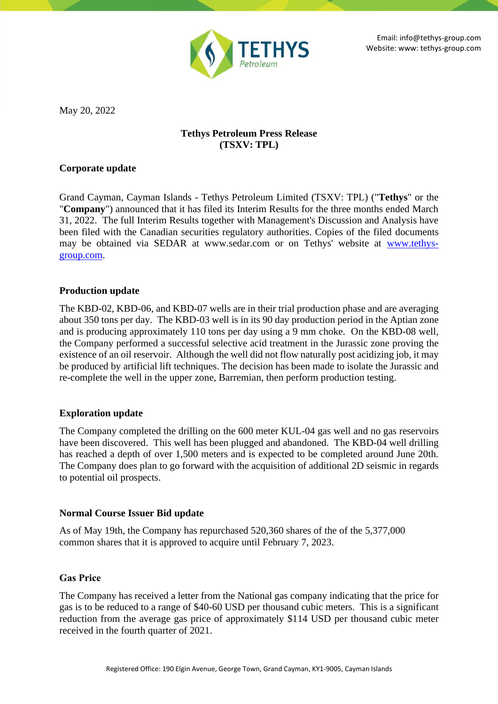

May 20, 2022

# **Tethys Petroleum Press Release (TSXV: TPL)**

### **Corporate update**

Grand Cayman, Cayman Islands - Tethys Petroleum Limited (TSXV: TPL) ("**Tethys**" or the "**Company**") announced that it has filed its Interim Results for the three months ended March 31, 2022. The full Interim Results together with Management's Discussion and Analysis have been filed with the Canadian securities regulatory authorities. Copies of the filed documents may be obtained via SEDAR at www.sedar.com or on Tethys' website at [www.tethys](http://www.tethys-group.com/)[group.com.](http://www.tethys-group.com/)

### **Production update**

The KBD-02, KBD-06, and KBD-07 wells are in their trial production phase and are averaging about 350 tons per day. The KBD-03 well is in its 90 day production period in the Aptian zone and is producing approximately 110 tons per day using a 9 mm choke. On the KBD-08 well, the Company performed a successful selective acid treatment in the Jurassic zone proving the existence of an oil reservoir. Although the well did not flow naturally post acidizing job, it may be produced by artificial lift techniques. The decision has been made to isolate the Jurassic and re-complete the well in the upper zone, Barremian, then perform production testing.

# **Exploration update**

The Company completed the drilling on the 600 meter KUL-04 gas well and no gas reservoirs have been discovered. This well has been plugged and abandoned. The KBD-04 well drilling has reached a depth of over 1,500 meters and is expected to be completed around June 20th. The Company does plan to go forward with the acquisition of additional 2D seismic in regards to potential oil prospects.

### **Normal Course Issuer Bid update**

As of May 19th, the Company has repurchased 520,360 shares of the of the 5,377,000 common shares that it is approved to acquire until February 7, 2023.

# **Gas Price**

The Company has received a letter from the National gas company indicating that the price for gas is to be reduced to a range of \$40-60 USD per thousand cubic meters. This is a significant reduction from the average gas price of approximately \$114 USD per thousand cubic meter received in the fourth quarter of 2021.